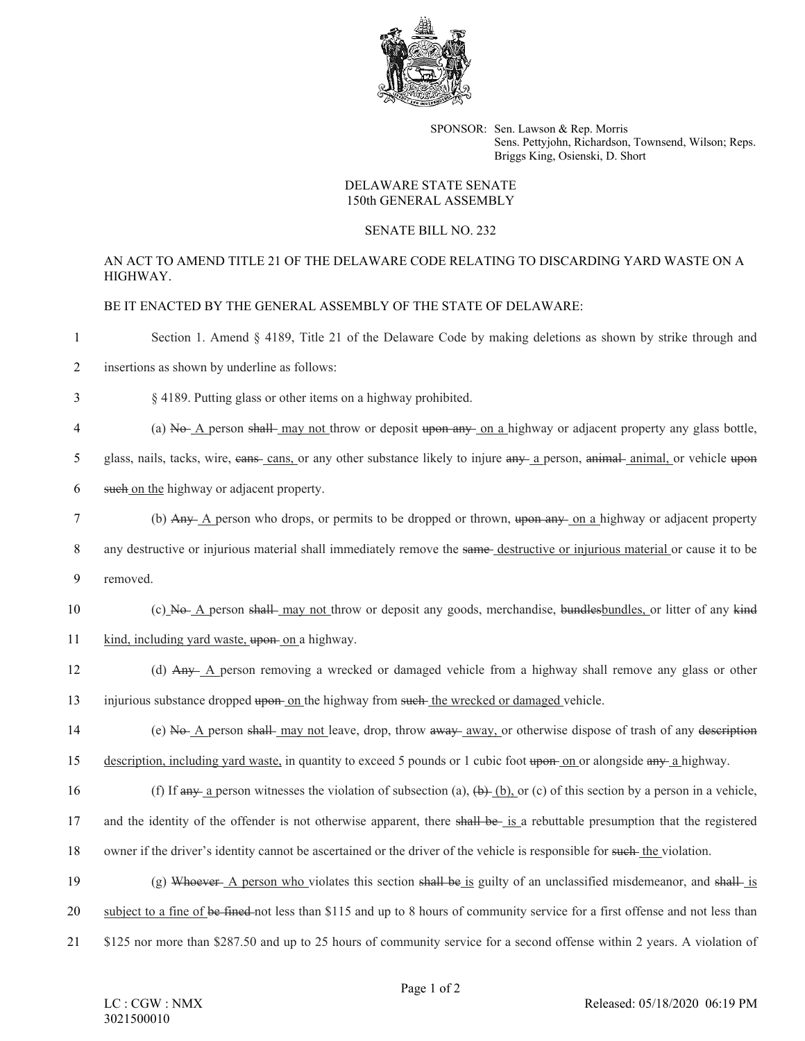

SPONSOR: Sen. Lawson & Rep. Morris Sens. Pettyjohn, Richardson, Townsend, Wilson; Reps. Briggs King, Osienski, D. Short

## DELAWARE STATE SENATE 150th GENERAL ASSEMBLY

## SENATE BILL NO. 232

## AN ACT TO AMEND TITLE 21 OF THE DELAWARE CODE RELATING TO DISCARDING YARD WASTE ON A HIGHWAY.

BE IT ENACTED BY THE GENERAL ASSEMBLY OF THE STATE OF DELAWARE:

1 Section 1. Amend § 4189, Title 21 of the Delaware Code by making deletions as shown by strike through and

2 insertions as shown by underline as follows:

3 § 4189. Putting glass or other items on a highway prohibited.

4 (a) No A person shall may not throw or deposit upon any on a highway or adjacent property any glass bottle,

5 glass, nails, tacks, wire, eans-cans, or any other substance likely to injure any a person, animal- animal, or vehicle upon

- 6 such on the highway or adjacent property.
- 7 (b) Any A person who drops, or permits to be dropped or thrown, upon any on a highway or adjacent property 8 any destructive or injurious material shall immediately remove the same-destructive or injurious material or cause it to be 9 removed.
- 10 (c) No A person shall may not throw or deposit any goods, merchandise, bundlesbundles, or litter of any kind 11 kind, including yard waste, upon on a highway.
- 12 (d) Any A person removing a wrecked or damaged vehicle from a highway shall remove any glass or other 13 injurious substance dropped upon on the highway from such the wrecked or damaged vehicle.
- 14 (e) No A person shall may not leave, drop, throw away away, or otherwise dispose of trash of any description 15 description, including yard waste, in quantity to exceed 5 pounds or 1 cubic foot upon on or alongside any a highway.
- 16 (f) If any a person witnesses the violation of subsection (a),  $(b)$ ,  $(b)$ , or (c) of this section by a person in a vehicle, 17 and the identity of the offender is not otherwise apparent, there shall be is a rebuttable presumption that the registered 18 owner if the driver's identity cannot be ascertained or the driver of the vehicle is responsible for such the violation.
- 19 (g) Whoever A person who violates this section shall be is guilty of an unclassified misdemeanor, and shall-is

20 subject to a fine of be fined not less than \$115 and up to 8 hours of community service for a first offense and not less than

21 \$125 nor more than \$287.50 and up to 25 hours of community service for a second offense within 2 years. A violation of